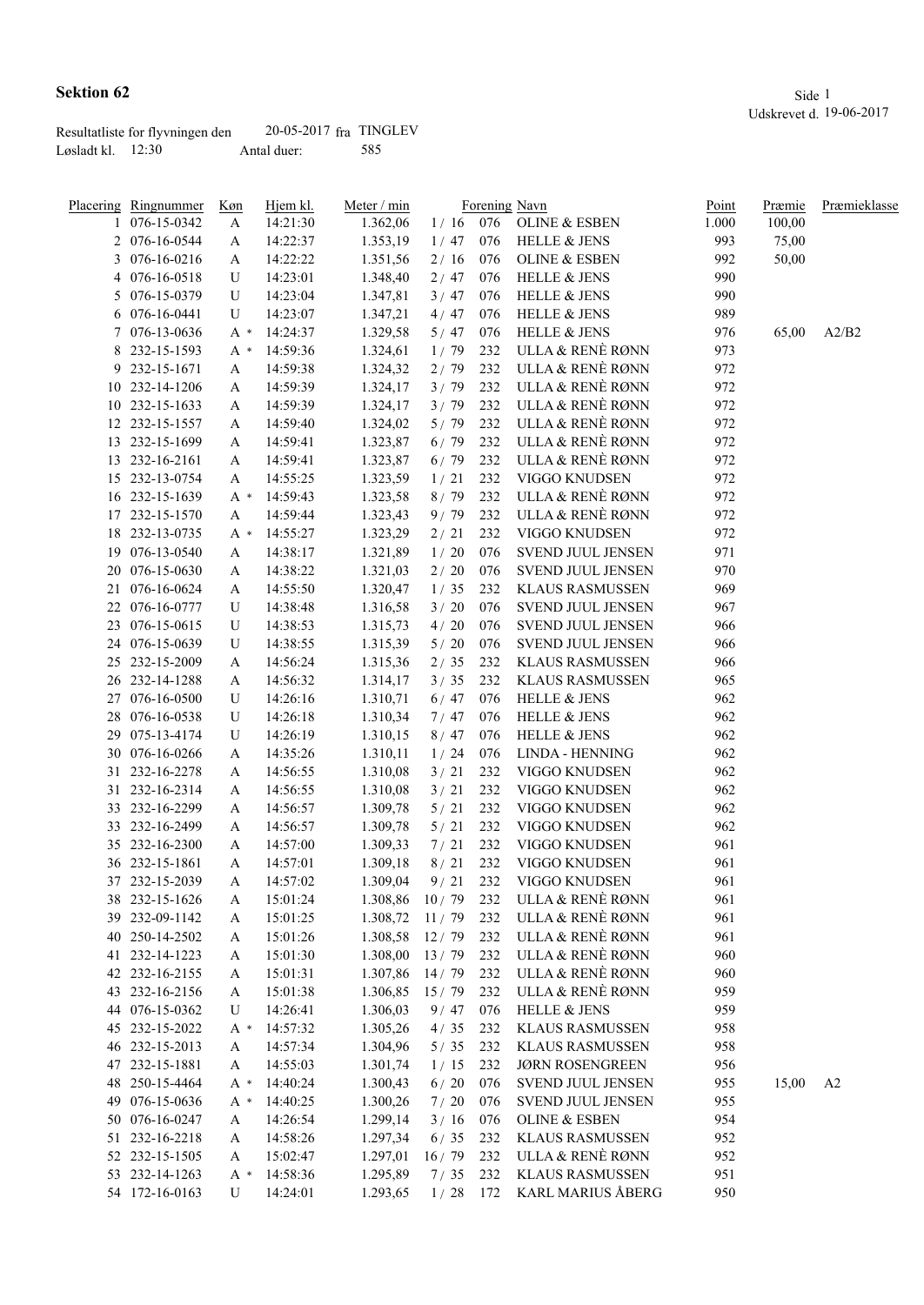|                       | Resultatliste for flyvningen den | $20-05-2017$ fra TINGLEV |     |
|-----------------------|----------------------------------|--------------------------|-----|
| Løsladt kl. – 12:30 – |                                  | Antal duer:              | 585 |

|    | <u>Placering Ringnummer</u> | Køn | Hjem kl. | Meter / min |             |     | Forening Navn            | Point | Præmie | Præmieklasse |
|----|-----------------------------|-----|----------|-------------|-------------|-----|--------------------------|-------|--------|--------------|
|    | 1 076-15-0342               | A   | 14:21:30 | 1.362,06    | 1/16        | 076 | <b>OLINE &amp; ESBEN</b> | 1.000 | 100,00 |              |
|    | 2 076-16-0544               | A   | 14:22:37 | 1.353,19    | 1/47        | 076 | <b>HELLE &amp; JENS</b>  | 993   | 75,00  |              |
|    | 3 076-16-0216               | A   | 14:22:22 | 1.351,56    | 2/16        | 076 | <b>OLINE &amp; ESBEN</b> | 992   | 50,00  |              |
|    | 4 076-16-0518               | U   | 14:23:01 | 1.348,40    | 2/47        | 076 | <b>HELLE &amp; JENS</b>  | 990   |        |              |
|    | 5 076-15-0379               | U   | 14:23:04 | 1.347,81    | 3/47        | 076 | HELLE & JENS             | 990   |        |              |
|    | 6 076-16-0441               | U   | 14:23:07 | 1.347,21    | 4/47        | 076 | <b>HELLE &amp; JENS</b>  | 989   |        |              |
|    | 7 076-13-0636               | A * | 14:24:37 | 1.329,58    | 5/47        | 076 | HELLE & JENS             | 976   | 65,00  | A2/B2        |
| 8  | 232-15-1593                 | A * | 14:59:36 | 1.324,61    | 1/79        | 232 | ULLA & RENÈ RØNN         | 973   |        |              |
|    | 9 232-15-1671               | A   | 14:59:38 | 1.324,32    | 2/79        | 232 | ULLA & RENÈ RØNN         | 972   |        |              |
|    | 10 232-14-1206              | A   | 14:59:39 | 1.324,17    | 3/79        | 232 | ULLA & RENÈ RØNN         | 972   |        |              |
|    | 10 232-15-1633              | A   | 14:59:39 | 1.324,17    | 3/79        | 232 | ULLA & RENÈ RØNN         | 972   |        |              |
|    | 12 232-15-1557              | A   | 14:59:40 | 1.324,02    | 5/79        | 232 | ULLA & RENÈ RØNN         | 972   |        |              |
|    | 13 232-15-1699              | A   | 14:59:41 | 1.323,87    | 6/79        | 232 | ULLA & RENÈ RØNN         | 972   |        |              |
|    | 13 232-16-2161              | A   | 14:59:41 | 1.323,87    | $6/79$      | 232 | ULLA & RENÈ RØNN         | 972   |        |              |
|    | 15 232-13-0754              | A   | 14:55:25 | 1.323,59    | 1/21        | 232 | VIGGO KNUDSEN            | 972   |        |              |
|    | 16 232-15-1639              | A * | 14:59:43 | 1.323,58    | 8/79        | 232 | ULLA & RENÈ RØNN         | 972   |        |              |
|    | 17 232-15-1570              | A   | 14:59:44 | 1.323,43    | 9/79        | 232 | ULLA & RENÈ RØNN         | 972   |        |              |
|    | 18 232-13-0735              | A * | 14:55:27 | 1.323,29    | $2/21$      | 232 | VIGGO KNUDSEN            | 972   |        |              |
|    | 19 076-13-0540              | A   | 14:38:17 | 1.321,89    | $1/20$      | 076 | SVEND JUUL JENSEN        | 971   |        |              |
|    | 20 076-15-0630              | A   | 14:38:22 | 1.321,03    | $2\,/\,$ 20 | 076 | <b>SVEND JUUL JENSEN</b> | 970   |        |              |
|    | 21 076-16-0624              | A   | 14:55:50 | 1.320,47    | 1/35        | 232 | <b>KLAUS RASMUSSEN</b>   | 969   |        |              |
|    | 22 076-16-0777              | U   | 14:38:48 | 1.316,58    | 3/20        | 076 | <b>SVEND JUUL JENSEN</b> | 967   |        |              |
|    | 23 076-15-0615              | U   | 14:38:53 | 1.315,73    | $4/20$      | 076 | <b>SVEND JUUL JENSEN</b> | 966   |        |              |
|    | 24 076-15-0639              | U   | 14:38:55 | 1.315,39    | $5/20$      | 076 | <b>SVEND JUUL JENSEN</b> | 966   |        |              |
|    | 25 232-15-2009              | A   | 14:56:24 | 1.315,36    | 2/35        | 232 | <b>KLAUS RASMUSSEN</b>   | 966   |        |              |
|    | 26 232-14-1288              | A   | 14:56:32 | 1.314,17    | 3/35        | 232 | <b>KLAUS RASMUSSEN</b>   | 965   |        |              |
|    | 27 076-16-0500              | U   | 14:26:16 | 1.310,71    | $6/47$      | 076 | <b>HELLE &amp; JENS</b>  | 962   |        |              |
|    | 28 076-16-0538              | U   | 14:26:18 | 1.310,34    | 7/47        | 076 | HELLE & JENS             | 962   |        |              |
|    | 29 075-13-4174              | U   | 14:26:19 | 1.310,15    | 8/47        | 076 | <b>HELLE &amp; JENS</b>  | 962   |        |              |
|    | 30 076-16-0266              | A   | 14:35:26 | 1.310,11    | 1/24        | 076 | LINDA - HENNING          | 962   |        |              |
|    | 31 232-16-2278              | A   | 14:56:55 | 1.310,08    | 3/21        | 232 | VIGGO KNUDSEN            | 962   |        |              |
|    | 31 232-16-2314              | A   | 14:56:55 | 1.310,08    | 3/21        | 232 | VIGGO KNUDSEN            | 962   |        |              |
|    | 33 232-16-2299              | A   | 14:56:57 | 1.309,78    | $5/21$      | 232 | VIGGO KNUDSEN            | 962   |        |              |
|    | 33 232-16-2499              | A   | 14:56:57 | 1.309,78    | 5/21        | 232 | VIGGO KNUDSEN            | 962   |        |              |
|    | 35 232-16-2300              | A   | 14:57:00 | 1.309,33    | 7/21        | 232 | VIGGO KNUDSEN            | 961   |        |              |
|    | 36 232-15-1861              | A   | 14:57:01 | 1.309,18    | 8/21        | 232 | VIGGO KNUDSEN            | 961   |        |              |
|    | 37 232-15-2039              | A   | 14:57:02 | 1.309,04    | $9/21$      | 232 | VIGGO KNUDSEN            | 961   |        |              |
|    | 38 232-15-1626              | A   | 15:01:24 | 1.308,86    | 10/79       | 232 | ULLA & RENÈ RØNN         | 961   |        |              |
| 39 | 232-09-1142                 | A   | 15:01:25 | 1.308,72    | 11/79       | 232 | ULLA & RENÈ RØNN         | 961   |        |              |
| 40 | 250-14-2502                 | A   | 15:01:26 | 1.308,58    | 12/79       | 232 | ULLA & RENÈ RØNN         | 961   |        |              |
|    | 41 232-14-1223              | A   | 15:01:30 | 1.308,00    | 13/79       | 232 | ULLA & RENÈ RØNN         | 960   |        |              |
|    | 42 232-16-2155              | A   | 15:01:31 | 1.307,86    | 14/79       | 232 | ULLA & RENÈ RØNN         | 960   |        |              |
|    |                             |     |          |             |             |     |                          |       |        |              |

43 232-16-2156 A 15:01:38 1.306,85 15 / 79 232 ULLA & RENÈ RØNN 959<br>44 076-15-0362 U 14:26:41 1.306,03 9 / 47 076 HELLE & JENS 959 076-15-0362 U 14:26:41 1.306,03 9 / 47 076 HELLE & JENS 959 232-15-2022 A \* 14:57:32 1.305,26 4 / 35 232 KLAUS RASMUSSEN 958 232-15-2013 A 14:57:34 1.304,96 5 / 35 232 KLAUS RASMUSSEN 958 232-15-1881 A 14:55:03 1.301,74 1 / 15 232 JØRN ROSENGREEN 956

 076-15-0636 A \* 14:40:25 1.300,26 7 / 20 076 SVEND JUUL JENSEN 955 076-16-0247 A 14:26:54 1.299,14 3 / 16 076 OLINE & ESBEN 954 232-16-2218 A 14:58:26 1.297,34 6 / 35 232 KLAUS RASMUSSEN 952 232-15-1505 A 15:02:47 1.297,01 16 / 79 232 ULLA & RENÈ RØNN 952 232-14-1263 A \* 14:58:36 1.295,89 7 / 35 232 KLAUS RASMUSSEN 951 54 172-16-0163 U 14:24:01 1.293,65 1 / 28 172 KARL MARIUS ÅBERG 950

48 250-15-4464 A \* 14:40:24 1.300,43 6 / 20 076 SVEND JUUL JENSEN 955 15,00 A2<br>49 076-15-0636 A \* 14:40:25 1.300,26 7 / 20 076 SVEND JUUL JENSEN 955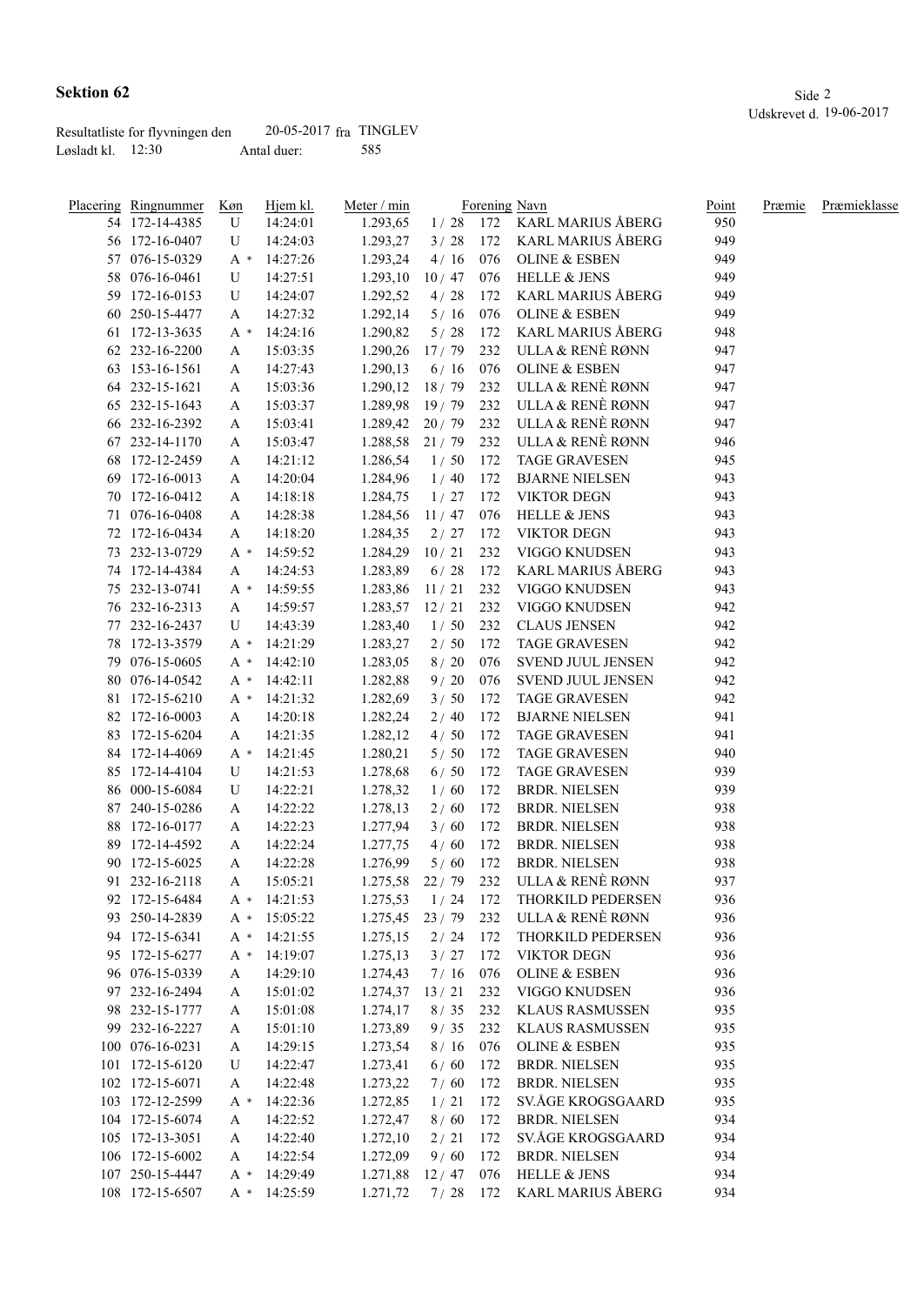|                     | Resultatliste for flyvningen den | $20-05-2017$ fra TINGLEV |     |
|---------------------|----------------------------------|--------------------------|-----|
| Løsladt kl. $12:30$ |                                  | Antal duer:              | 585 |

| <u>Placering Ringnummer</u> | <u>Køn</u> | Hjem kl.     | Meter / min      |             |     | Forening Navn            | Point | Præmie | Præmieklasse |
|-----------------------------|------------|--------------|------------------|-------------|-----|--------------------------|-------|--------|--------------|
| 54 172-14-4385              | U          | 14:24:01     | 1.293,65         | 1/28        |     | 172 KARL MARIUS ÅBERG    | 950   |        |              |
| 56 172-16-0407              | U          | 14:24:03     | 1.293,27         | 3/28        | 172 | KARL MARIUS ÅBERG        | 949   |        |              |
| 57 076-15-0329              | $A^*$      | 14:27:26     | 1.293,24         | 4/16        | 076 | <b>OLINE &amp; ESBEN</b> | 949   |        |              |
| 58 076-16-0461              | U          | 14:27:51     | 1.293,10         | 10/47       | 076 | <b>HELLE &amp; JENS</b>  | 949   |        |              |
| 59 172-16-0153              | U          | 14:24:07     | 1.292,52         | 4/28        | 172 | KARL MARIUS ÅBERG        | 949   |        |              |
| 60 250-15-4477              | A          | 14:27:32     | 1.292,14         | 5/16        | 076 | <b>OLINE &amp; ESBEN</b> | 949   |        |              |
| 61 172-13-3635              | A *        | 14:24:16     | 1.290,82         | 5/28        | 172 | KARL MARIUS ÅBERG        | 948   |        |              |
| 62 232-16-2200              | A          | 15:03:35     | 1.290,26         | 17/79       | 232 | ULLA & RENÈ RØNN         | 947   |        |              |
| 63 153-16-1561              | A          | 14:27:43     | 1.290,13         | 6/16        | 076 | <b>OLINE &amp; ESBEN</b> | 947   |        |              |
| 64 232-15-1621              | A          | 15:03:36     | 1.290,12         | 18/79       | 232 | ULLA & RENÈ RØNN         | 947   |        |              |
| 65 232-15-1643              | A          | 15:03:37     | 1.289,98         | 19/79       | 232 | ULLA & RENÈ RØNN         | 947   |        |              |
| 66 232-16-2392              | A          | 15:03:41     | 1.289,42         | $20/79$ 232 |     | ULLA & RENÈ RØNN         | 947   |        |              |
| 67 232-14-1170              | A          | 15:03:47     | 1.288,58         | 21/79       | 232 | ULLA & RENÈ RØNN         | 946   |        |              |
| 68 172-12-2459              | A          | 14:21:12     | 1.286,54         | 1/50        | 172 | <b>TAGE GRAVESEN</b>     | 945   |        |              |
| 69 172-16-0013              | A          | 14:20:04     | 1.284,96         | 1/40        | 172 | <b>BJARNE NIELSEN</b>    | 943   |        |              |
| 70 172-16-0412              | A          | 14:18:18     | 1.284,75         | 1/27        | 172 | <b>VIKTOR DEGN</b>       | 943   |        |              |
| 71 076-16-0408              | A          | 14:28:38     | 1.284,56         | 11/47       | 076 | <b>HELLE &amp; JENS</b>  | 943   |        |              |
| 72 172-16-0434              | A          | 14:18:20     | 1.284,35         | 2/27        | 172 | <b>VIKTOR DEGN</b>       | 943   |        |              |
| 73 232-13-0729              | A *        |              |                  | 10/21       | 232 | VIGGO KNUDSEN            | 943   |        |              |
|                             |            | 14:59:52     | 1.284,29         |             |     |                          |       |        |              |
| 74 172-14-4384              | A          | 14:24:53     | 1.283,89         | $6/28$      | 172 | <b>KARL MARIUS ÅBERG</b> | 943   |        |              |
| 75 232-13-0741              | $A^*$      | 14:59:55     | 1.283,86         | 11/21       | 232 | VIGGO KNUDSEN            | 943   |        |              |
| 76 232-16-2313              | A          | 14:59:57     | 1.283,57         | 12/21       | 232 | VIGGO KNUDSEN            | 942   |        |              |
| 77 232-16-2437              | U          | 14:43:39     | 1.283,40         | 1/50        | 232 | <b>CLAUS JENSEN</b>      | 942   |        |              |
| 78 172-13-3579              | A *        | 14:21:29     | 1.283,27         | 2/50        | 172 | <b>TAGE GRAVESEN</b>     | 942   |        |              |
| 79 076-15-0605              | $A^*$      | 14:42:10     | 1.283,05         | 8/20        | 076 | SVEND JUUL JENSEN        | 942   |        |              |
| 80 076-14-0542              | $A^*$      | 14:42:11     | 1.282,88         | 9/20        | 076 | SVEND JUUL JENSEN        | 942   |        |              |
| 81 172-15-6210              | A *        | 14:21:32     | 1.282,69         | 3/50        | 172 | <b>TAGE GRAVESEN</b>     | 942   |        |              |
| 82 172-16-0003              | A          | 14:20:18     | 1.282,24         | 2/40        | 172 | <b>BJARNE NIELSEN</b>    | 941   |        |              |
| 83 172-15-6204              | A          | 14:21:35     | 1.282,12         | 4/50        | 172 | <b>TAGE GRAVESEN</b>     | 941   |        |              |
| 84 172-14-4069              | A *        | 14:21:45     | 1.280,21         | 5/50        | 172 | <b>TAGE GRAVESEN</b>     | 940   |        |              |
| 85 172-14-4104              | U          | 14:21:53     | 1.278,68         | 6/50        | 172 | <b>TAGE GRAVESEN</b>     | 939   |        |              |
| 86 000-15-6084              | U          | 14:22:21     | 1.278,32         | 1/60        | 172 | <b>BRDR. NIELSEN</b>     | 939   |        |              |
| 87 240-15-0286              | A          | 14:22:22     | 1.278,13         | 2/60        | 172 | <b>BRDR. NIELSEN</b>     | 938   |        |              |
| 88 172-16-0177              | A          | 14:22:23     | 1.277,94         | 3/60        | 172 | <b>BRDR. NIELSEN</b>     | 938   |        |              |
| 89 172-14-4592              | A          | 14:22:24     | 1.277,75         | 4/60        | 172 | <b>BRDR. NIELSEN</b>     | 938   |        |              |
| 90 172-15-6025              | A          | 14:22:28     | 1.276,99         | 5/60        | 172 | <b>BRDR. NIELSEN</b>     | 938   |        |              |
| 91 232-16-2118              | A          | 15:05:21     | 1.275,58         | 22/79       | 232 | ULLA & RENÈ RØNN         | 937   |        |              |
| 92 172-15-6484              |            | A * 14:21:53 | 1.275,53         | 1/24        | 172 | THORKILD PEDERSEN        | 936   |        |              |
| 93 250-14-2839              | A *        | 15:05:22     | $1.275,45$ 23/79 |             | 232 | ULLA & RENÈ RØNN         | 936   |        |              |
| 94 172-15-6341              | A *        | 14:21:55     | 1.275,15         | $2/24$ 172  |     | THORKILD PEDERSEN        | 936   |        |              |
| 95 172-15-6277              | A *        | 14:19:07     | 1.275,13         | $3/27$ 172  |     | VIKTOR DEGN              | 936   |        |              |
| 96 076-15-0339              | A          | 14:29:10     | 1.274,43         | 7/16        | 076 | OLINE $\&$ ESBEN         | 936   |        |              |
| 97 232-16-2494              | A          | 15:01:02     | 1.274,37         | 13/21       | 232 | VIGGO KNUDSEN            | 936   |        |              |
| 98 232-15-1777              | A          | 15:01:08     | 1.274,17         | 8/35        | 232 | <b>KLAUS RASMUSSEN</b>   | 935   |        |              |
| 99 232-16-2227              | A          | 15:01:10     | 1.273,89         | 9/35        | 232 | <b>KLAUS RASMUSSEN</b>   | 935   |        |              |
| 100 076-16-0231             | A          | 14:29:15     | 1.273,54         | 8/16        | 076 | OLINE & ESBEN            | 935   |        |              |
| 101 172-15-6120             | U          | 14:22:47     | 1.273,41         | 6/60        | 172 | <b>BRDR. NIELSEN</b>     | 935   |        |              |
| 102 172-15-6071             | A          | 14:22:48     | 1.273,22         | 7/60        | 172 | <b>BRDR. NIELSEN</b>     | 935   |        |              |
| 103 172-12-2599             | A *        | 14:22:36     | 1.272,85         | 1/21        | 172 | SV.ÅGE KROGSGAARD        | 935   |        |              |
| 104 172-15-6074             | A          | 14:22:52     | 1.272,47         | 8/60        | 172 | <b>BRDR. NIELSEN</b>     | 934   |        |              |
| 105 172-13-3051             | A          | 14:22:40     | 1.272,10         | 2/21        | 172 | SV.ÅGE KROGSGAARD        | 934   |        |              |
| 106 172-15-6002             |            | 14:22:54     | 1.272,09         | 9/60        | 172 | <b>BRDR. NIELSEN</b>     | 934   |        |              |
|                             | A          |              |                  |             |     | HELLE & JENS             | 934   |        |              |
| 107 250-15-4447             | A *        | 14:29:49     | 1.271,88         | 12/47       | 076 |                          |       |        |              |
| 108 172-15-6507             | A *        | 14:25:59     | 1.271,72         | 7/28        | 172 | KARL MARIUS ÅBERG        | 934   |        |              |